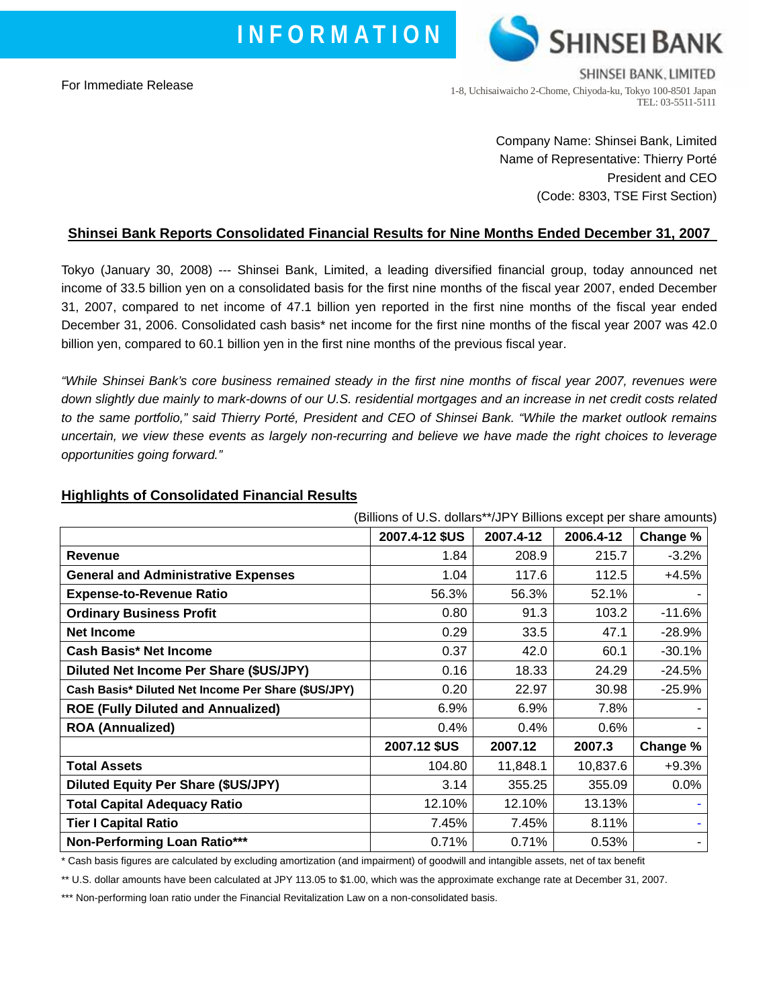**I N F O R M A T I O N**

For Immediate Release



Company Name: Shinsei Bank, Limited Name of Representative: Thierry Porté President and CEO (Code: 8303, TSE First Section)

# **Shinsei Bank Reports Consolidated Financial Results for Nine Months Ended December 31, 2007**

Tokyo (January 30, 2008) --- Shinsei Bank, Limited, a leading diversified financial group, today announced net income of 33.5 billion yen on a consolidated basis for the first nine months of the fiscal year 2007, ended December 31, 2007, compared to net income of 47.1 billion yen reported in the first nine months of the fiscal year ended December 31, 2006. Consolidated cash basis\* net income for the first nine months of the fiscal year 2007 was 42.0 billion yen, compared to 60.1 billion yen in the first nine months of the previous fiscal year.

*"While Shinsei Bank's core business remained steady in the first nine months of fiscal year 2007, revenues were down slightly due mainly to mark-downs of our U.S. residential mortgages and an increase in net credit costs related to the same portfolio," said Thierry Porté, President and CEO of Shinsei Bank. "While the market outlook remains uncertain, we view these events as largely non-recurring and believe we have made the right choices to leverage opportunities going forward."*

|                                                     | (Billions of U.S. dollars**/JPY Billions except per share amounts) |           |           |          |
|-----------------------------------------------------|--------------------------------------------------------------------|-----------|-----------|----------|
|                                                     | 2007.4-12 \$US                                                     | 2007.4-12 | 2006.4-12 | Change % |
| <b>Revenue</b>                                      | 1.84                                                               | 208.9     | 215.7     | $-3.2%$  |
| <b>General and Administrative Expenses</b>          | 1.04                                                               | 117.6     | 112.5     | +4.5%    |
| <b>Expense-to-Revenue Ratio</b>                     | 56.3%                                                              | 56.3%     | 52.1%     |          |
| <b>Ordinary Business Profit</b>                     | 0.80                                                               | 91.3      | 103.2     | $-11.6%$ |
| <b>Net Income</b>                                   | 0.29                                                               | 33.5      | 47.1      | $-28.9%$ |
| <b>Cash Basis* Net Income</b>                       | 0.37                                                               | 42.0      | 60.1      | $-30.1%$ |
| Diluted Net Income Per Share (\$US/JPY)             | 0.16                                                               | 18.33     | 24.29     | $-24.5%$ |
| Cash Basis* Diluted Net Income Per Share (\$US/JPY) | 0.20                                                               | 22.97     | 30.98     | $-25.9%$ |
| <b>ROE (Fully Diluted and Annualized)</b>           | 6.9%                                                               | 6.9%      | 7.8%      |          |
| <b>ROA (Annualized)</b>                             | 0.4%                                                               | 0.4%      | $0.6\%$   |          |
|                                                     | 2007.12 \$US                                                       | 2007.12   | 2007.3    | Change % |
| <b>Total Assets</b>                                 | 104.80                                                             | 11,848.1  | 10,837.6  | $+9.3%$  |
| Diluted Equity Per Share (\$US/JPY)                 | 3.14                                                               | 355.25    | 355.09    | 0.0%     |
| <b>Total Capital Adequacy Ratio</b>                 | 12.10%                                                             | 12.10%    | 13.13%    |          |
| <b>Tier I Capital Ratio</b>                         | 7.45%                                                              | 7.45%     | 8.11%     |          |
| <b>Non-Performing Loan Ratio***</b>                 | 0.71%                                                              | 0.71%     | 0.53%     |          |

#### **Highlights of Consolidated Financial Results**

\* Cash basis figures are calculated by excluding amortization (and impairment) of goodwill and intangible assets, net of tax benefit

\*\* U.S. dollar amounts have been calculated at JPY 113.05 to \$1.00, which was the approximate exchange rate at December 31, 2007.

\*\*\* Non-performing loan ratio under the Financial Revitalization Law on a non-consolidated basis.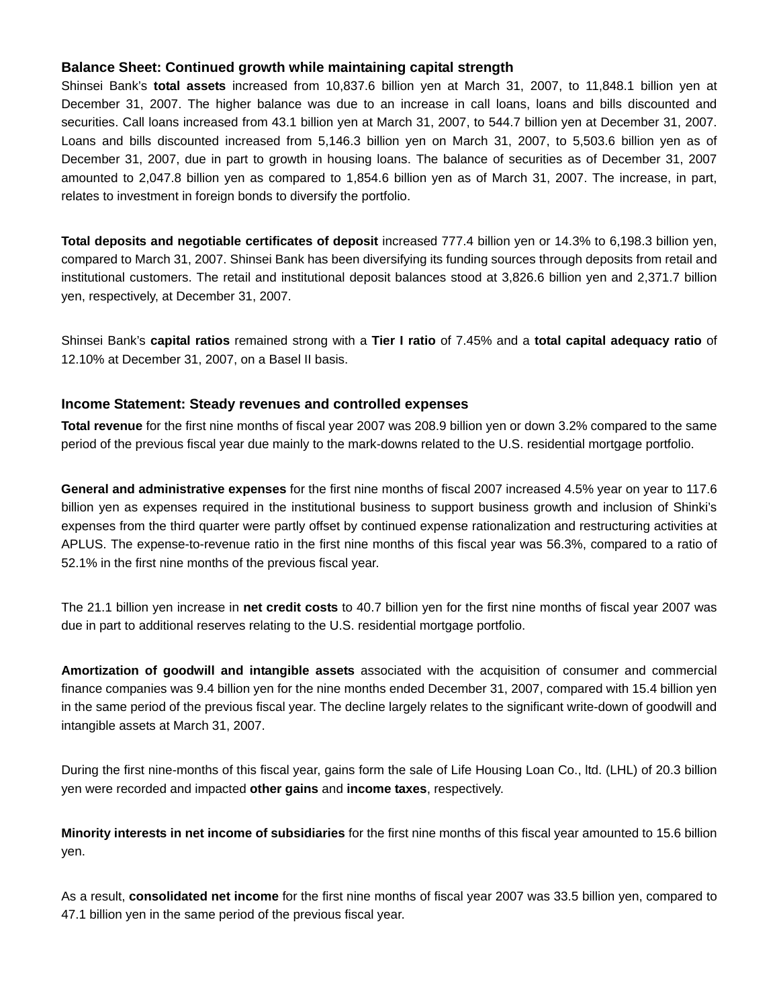## **Balance Sheet: Continued growth while maintaining capital strength**

Shinsei Bank's **total assets** increased from 10,837.6 billion yen at March 31, 2007, to 11,848.1 billion yen at December 31, 2007. The higher balance was due to an increase in call loans, loans and bills discounted and securities. Call loans increased from 43.1 billion yen at March 31, 2007, to 544.7 billion yen at December 31, 2007. Loans and bills discounted increased from 5,146.3 billion yen on March 31, 2007, to 5,503.6 billion yen as of December 31, 2007, due in part to growth in housing loans. The balance of securities as of December 31, 2007 amounted to 2,047.8 billion yen as compared to 1,854.6 billion yen as of March 31, 2007. The increase, in part, relates to investment in foreign bonds to diversify the portfolio.

**Total deposits and negotiable certificates of deposit** increased 777.4 billion yen or 14.3% to 6,198.3 billion yen, compared to March 31, 2007. Shinsei Bank has been diversifying its funding sources through deposits from retail and institutional customers. The retail and institutional deposit balances stood at 3,826.6 billion yen and 2,371.7 billion yen, respectively, at December 31, 2007.

Shinsei Bank's **capital ratios** remained strong with a **Tier I ratio** of 7.45% and a **total capital adequacy ratio** of 12.10% at December 31, 2007, on a Basel II basis.

### **Income Statement: Steady revenues and controlled expenses**

**Total revenue** for the first nine months of fiscal year 2007 was 208.9 billion yen or down 3.2% compared to the same period of the previous fiscal year due mainly to the mark-downs related to the U.S. residential mortgage portfolio.

**General and administrative expenses** for the first nine months of fiscal 2007 increased 4.5% year on year to 117.6 billion yen as expenses required in the institutional business to support business growth and inclusion of Shinki's expenses from the third quarter were partly offset by continued expense rationalization and restructuring activities at APLUS. The expense-to-revenue ratio in the first nine months of this fiscal year was 56.3%, compared to a ratio of 52.1% in the first nine months of the previous fiscal year.

The 21.1 billion yen increase in **net credit costs** to 40.7 billion yen for the first nine months of fiscal year 2007 was due in part to additional reserves relating to the U.S. residential mortgage portfolio.

**Amortization of goodwill and intangible assets** associated with the acquisition of consumer and commercial finance companies was 9.4 billion yen for the nine months ended December 31, 2007, compared with 15.4 billion yen in the same period of the previous fiscal year. The decline largely relates to the significant write-down of goodwill and intangible assets at March 31, 2007.

During the first nine-months of this fiscal year, gains form the sale of Life Housing Loan Co., ltd. (LHL) of 20.3 billion yen were recorded and impacted **other gains** and **income taxes**, respectively.

**Minority interests in net income of subsidiaries** for the first nine months of this fiscal year amounted to 15.6 billion yen.

As a result, **consolidated net income** for the first nine months of fiscal year 2007 was 33.5 billion yen, compared to 47.1 billion yen in the same period of the previous fiscal year.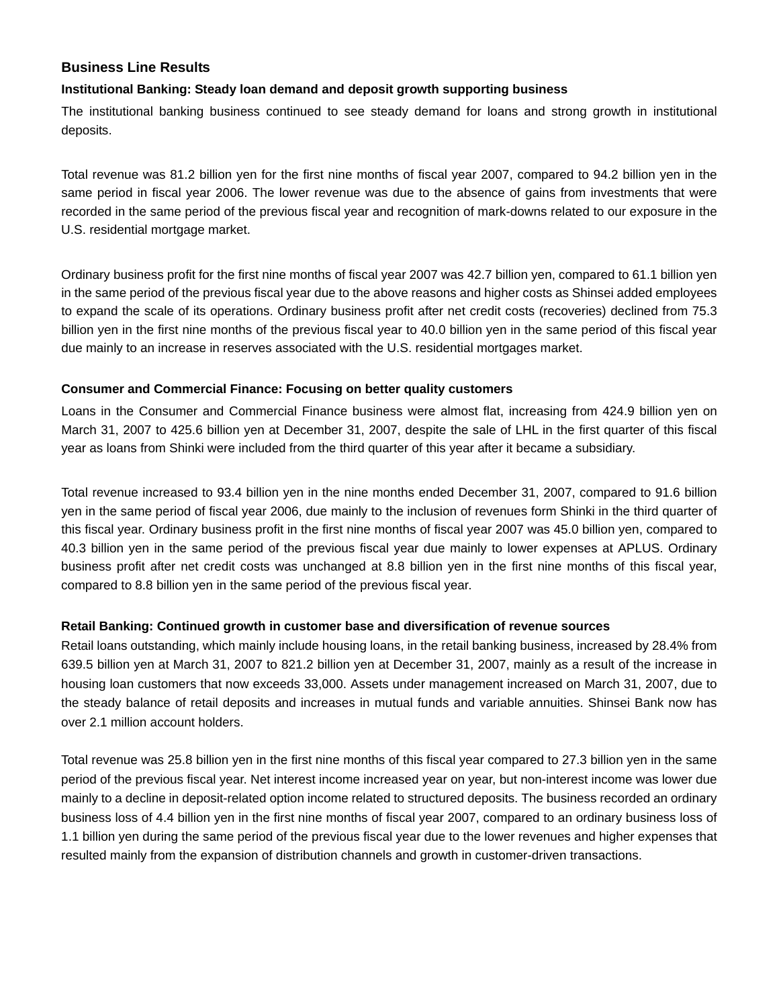## **Business Line Results**

### **Institutional Banking: Steady loan demand and deposit growth supporting business**

The institutional banking business continued to see steady demand for loans and strong growth in institutional deposits.

Total revenue was 81.2 billion yen for the first nine months of fiscal year 2007, compared to 94.2 billion yen in the same period in fiscal year 2006. The lower revenue was due to the absence of gains from investments that were recorded in the same period of the previous fiscal year and recognition of mark-downs related to our exposure in the U.S. residential mortgage market.

Ordinary business profit for the first nine months of fiscal year 2007 was 42.7 billion yen, compared to 61.1 billion yen in the same period of the previous fiscal year due to the above reasons and higher costs as Shinsei added employees to expand the scale of its operations. Ordinary business profit after net credit costs (recoveries) declined from 75.3 billion yen in the first nine months of the previous fiscal year to 40.0 billion yen in the same period of this fiscal year due mainly to an increase in reserves associated with the U.S. residential mortgages market.

### **Consumer and Commercial Finance: Focusing on better quality customers**

Loans in the Consumer and Commercial Finance business were almost flat, increasing from 424.9 billion yen on March 31, 2007 to 425.6 billion yen at December 31, 2007, despite the sale of LHL in the first quarter of this fiscal year as loans from Shinki were included from the third quarter of this year after it became a subsidiary.

Total revenue increased to 93.4 billion yen in the nine months ended December 31, 2007, compared to 91.6 billion yen in the same period of fiscal year 2006, due mainly to the inclusion of revenues form Shinki in the third quarter of this fiscal year. Ordinary business profit in the first nine months of fiscal year 2007 was 45.0 billion yen, compared to 40.3 billion yen in the same period of the previous fiscal year due mainly to lower expenses at APLUS. Ordinary business profit after net credit costs was unchanged at 8.8 billion yen in the first nine months of this fiscal year, compared to 8.8 billion yen in the same period of the previous fiscal year.

### **Retail Banking: Continued growth in customer base and diversification of revenue sources**

Retail loans outstanding, which mainly include housing loans, in the retail banking business, increased by 28.4% from 639.5 billion yen at March 31, 2007 to 821.2 billion yen at December 31, 2007, mainly as a result of the increase in housing loan customers that now exceeds 33,000. Assets under management increased on March 31, 2007, due to the steady balance of retail deposits and increases in mutual funds and variable annuities. Shinsei Bank now has over 2.1 million account holders.

Total revenue was 25.8 billion yen in the first nine months of this fiscal year compared to 27.3 billion yen in the same period of the previous fiscal year. Net interest income increased year on year, but non-interest income was lower due mainly to a decline in deposit-related option income related to structured deposits. The business recorded an ordinary business loss of 4.4 billion yen in the first nine months of fiscal year 2007, compared to an ordinary business loss of 1.1 billion yen during the same period of the previous fiscal year due to the lower revenues and higher expenses that resulted mainly from the expansion of distribution channels and growth in customer-driven transactions.